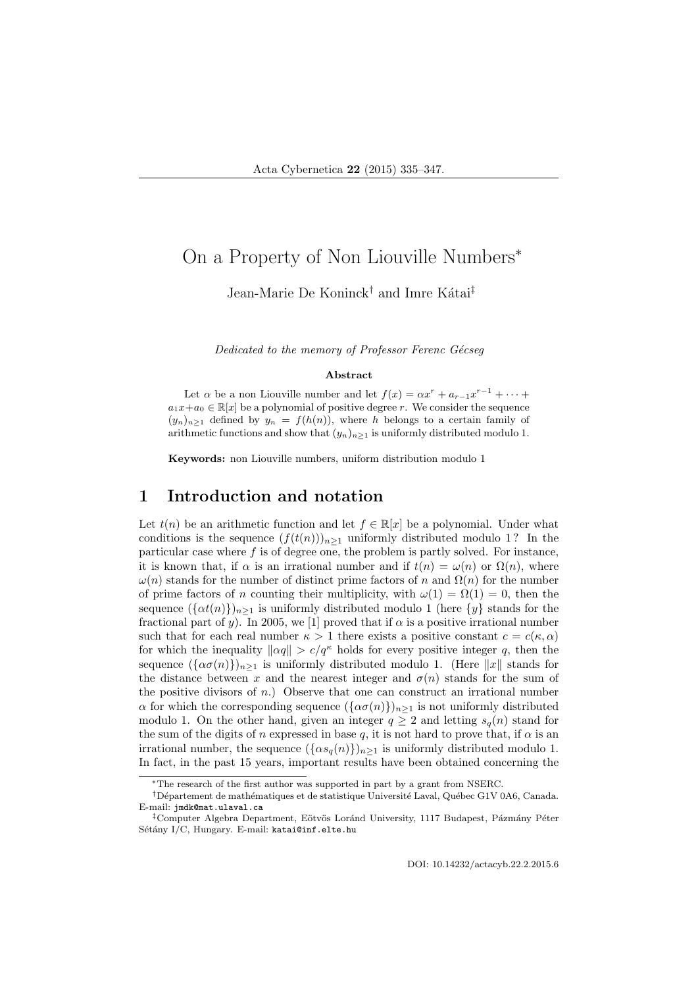# On a Property of Non Liouville Numbers<sup>∗</sup>

Jean-Marie De Koninck<sup>†</sup> and Imre Kátai<sup>‡</sup>

Dedicated to the memory of Professor Ferenc Gécseq

#### Abstract

Let  $\alpha$  be a non Liouville number and let  $f(x) = \alpha x^r + a_{r-1}x^{r-1} + \cdots$  $a_1x+a_0 \in \mathbb{R}[x]$  be a polynomial of positive degree r. We consider the sequence  $(y_n)_{n\geq 1}$  defined by  $y_n = f(h(n))$ , where h belongs to a certain family of arithmetic functions and show that  $(y_n)_{n\geq 1}$  is uniformly distributed modulo 1.

Keywords: non Liouville numbers, uniform distribution modulo 1

#### 1 Introduction and notation

Let  $t(n)$  be an arithmetic function and let  $f \in \mathbb{R}[x]$  be a polynomial. Under what conditions is the sequence  $(f(t(n)))_{n\geq 1}$  uniformly distributed modulo 1? In the particular case where f is of degree one, the problem is partly solved. For instance, it is known that, if  $\alpha$  is an irrational number and if  $t(n) = \omega(n)$  or  $\Omega(n)$ , where  $\omega(n)$  stands for the number of distinct prime factors of n and  $\Omega(n)$  for the number of prime factors of n counting their multiplicity, with  $\omega(1) = \Omega(1) = 0$ , then the sequence  $({\{\alpha t(n)\}}_{n\geq 1}$  is uniformly distributed modulo 1 (here  $\{y\}$  stands for the fractional part of y). In 2005, we [1] proved that if  $\alpha$  is a positive irrational number such that for each real number  $\kappa > 1$  there exists a positive constant  $c = c(\kappa, \alpha)$ for which the inequality  $\|\alpha q\| > c/q^{\kappa}$  holds for every positive integer q, then the sequence  $({\alpha \sigma(n)})_{n\geq 1}$  is uniformly distributed modulo 1. (Here  $||x||$  stands for the distance between x and the nearest integer and  $\sigma(n)$  stands for the sum of the positive divisors of  $n$ .) Observe that one can construct an irrational number  $\alpha$  for which the corresponding sequence  $({\alpha \sigma(n)}_{n})_{n>1}$  is not uniformly distributed modulo 1. On the other hand, given an integer  $q \ge 2$  and letting  $s_q(n)$  stand for the sum of the digits of n expressed in base q, it is not hard to prove that, if  $\alpha$  is an irrational number, the sequence  $({\alpha s_q(n)})_{n\geq 1}$  is uniformly distributed modulo 1. In fact, in the past 15 years, important results have been obtained concerning the

<sup>∗</sup>The research of the first author was supported in part by a grant from NSERC.

<sup>&</sup>lt;sup>†</sup>Département de mathématiques et de statistique Université Laval, Québec G1V 0A6, Canada. E-mail: jmdk@mat.ulaval.ca

<sup>&</sup>lt;sup>‡</sup>Computer Algebra Department, Eötvös Loránd University, 1117 Budapest, Pázmány Péter Sétány I/C, Hungary. E-mail: katai@inf.elte.hu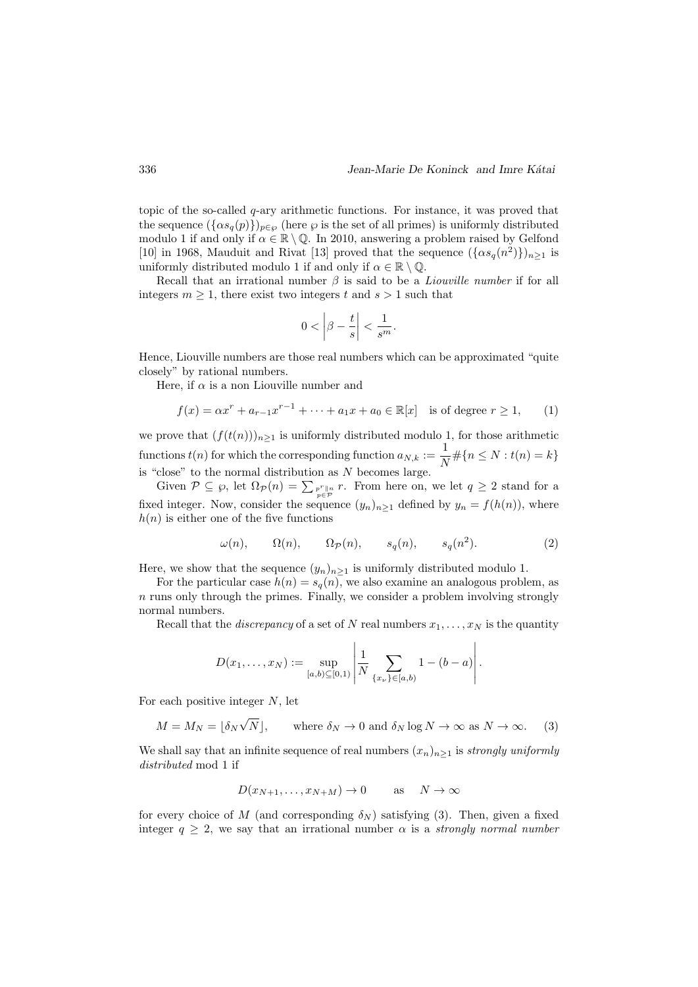topic of the so-called  $q$ -ary arithmetic functions. For instance, it was proved that the sequence  $({\alpha s_q(p)})_{p\in\varnothing}$  (here  $\varnothing$  is the set of all primes) is uniformly distributed modulo 1 if and only if  $\alpha \in \mathbb{R} \setminus \mathbb{Q}$ . In 2010, answering a problem raised by Gelfond [10] in 1968, Mauduit and Rivat [13] proved that the sequence  $({\alpha s_q(n^2)}_{n \geq 1}$  is uniformly distributed modulo 1 if and only if  $\alpha \in \mathbb{R} \setminus \mathbb{Q}$ .

Recall that an irrational number  $\beta$  is said to be a *Liouville number* if for all integers  $m \geq 1$ , there exist two integers t and  $s > 1$  such that

$$
0 < \left| \beta - \frac{t}{s} \right| < \frac{1}{s^m}.
$$

Hence, Liouville numbers are those real numbers which can be approximated "quite closely" by rational numbers.

Here, if  $\alpha$  is a non Liouville number and

$$
f(x) = \alpha x^{r} + a_{r-1} x^{r-1} + \dots + a_1 x + a_0 \in \mathbb{R}[x]
$$
 is of degree  $r \ge 1$ , (1)

we prove that  $(f(t(n)))_{n\geq 1}$  is uniformly distributed modulo 1, for those arithmetic functions  $t(n)$  for which the corresponding function  $a_{N,k} := \frac{1}{N}$  $\frac{1}{N} \# \{ n \leq N : t(n) = k \}$ is "close" to the normal distribution as  $N$  becomes large.

Given  $P \subseteq \wp$ , let  $\Omega_P(n) = \sum_{p \in P} p^r \parallel_n r$ . From here on, we let  $q \geq 2$  stand for a fixed integer. Now, consider the sequence  $(y_n)_{n\geq 1}$  defined by  $y_n = f(h(n))$ , where  $h(n)$  is either one of the five functions

$$
\omega(n), \qquad \Omega(n), \qquad \Omega_{\mathcal{P}}(n), \qquad s_q(n), \qquad s_q(n^2). \tag{2}
$$

Here, we show that the sequence  $(y_n)_{n\geq 1}$  is uniformly distributed modulo 1.

For the particular case  $h(n) = s_q(n)$ , we also examine an analogous problem, as  $n$  runs only through the primes. Finally, we consider a problem involving strongly normal numbers.

Recall that the *discrepancy* of a set of N real numbers  $x_1, \ldots, x_N$  is the quantity

$$
D(x_1,...,x_N) := \sup_{[a,b)\subseteq [0,1)} \left| \frac{1}{N} \sum_{\{x_\nu\} \in [a,b)} 1 - (b-a) \right|.
$$

For each positive integer  $N$ , let

$$
M = M_N = [\delta_N \sqrt{N}], \quad \text{where } \delta_N \to 0 \text{ and } \delta_N \log N \to \infty \text{ as } N \to \infty.
$$
 (3)

We shall say that an infinite sequence of real numbers  $(x_n)_{n\geq 1}$  is strongly uniformly distributed mod 1 if

$$
D(x_{N+1},...,x_{N+M}) \to 0 \quad \text{as} \quad N \to \infty
$$

for every choice of M (and corresponding  $\delta_N$ ) satisfying (3). Then, given a fixed integer  $q > 2$ , we say that an irrational number  $\alpha$  is a *strongly normal number*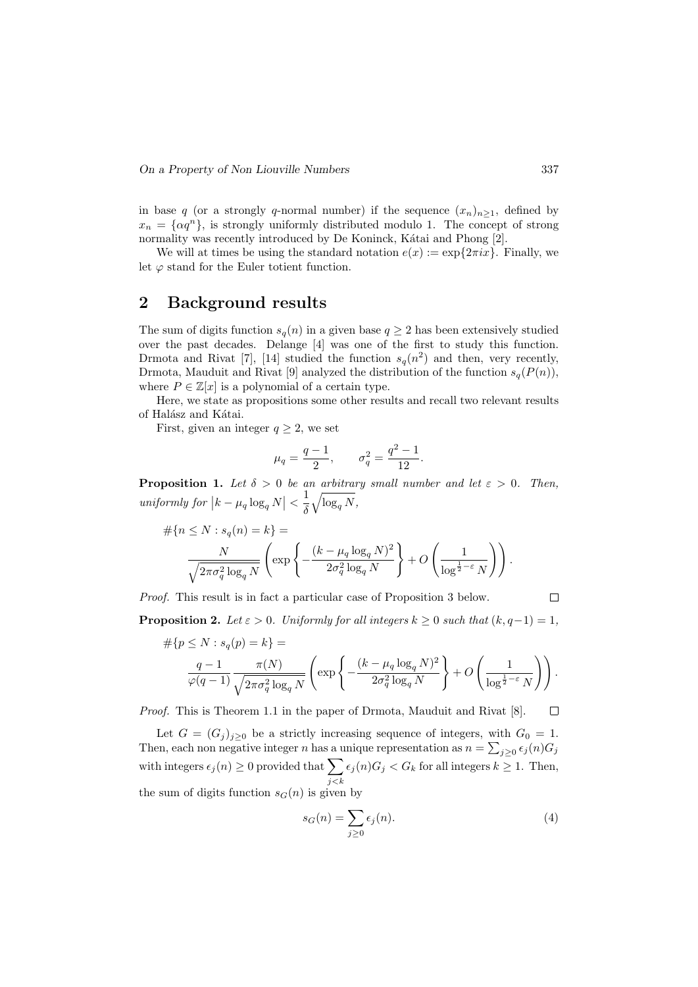in base q (or a strongly q-normal number) if the sequence  $(x_n)_{n\geq 1}$ , defined by  $x_n = {\alpha q^n}$ , is strongly uniformly distributed modulo 1. The concept of strong normality was recently introduced by De Koninck, Kátai and Phong [2].

We will at times be using the standard notation  $e(x) := \exp\{2\pi i x\}$ . Finally, we let  $\varphi$  stand for the Euler totient function.

### 2 Background results

The sum of digits function  $s_q(n)$  in a given base  $q \geq 2$  has been extensively studied over the past decades. Delange [4] was one of the first to study this function. Drmota and Rivat [7], [14] studied the function  $s_q(n^2)$  and then, very recently, Drmota, Mauduit and Rivat [9] analyzed the distribution of the function  $s_q(P(n))$ , where  $P \in \mathbb{Z}[x]$  is a polynomial of a certain type.

Here, we state as propositions some other results and recall two relevant results of Halász and Kátai.

First, given an integer  $q \geq 2$ , we set

$$
\mu_q = \frac{q-1}{2}, \qquad \sigma_q^2 = \frac{q^2-1}{12}.
$$

**Proposition 1.** Let  $\delta > 0$  be an arbitrary small number and let  $\varepsilon > 0$ . Then, uniformly for  $\left|k-\mu_q\log_q N\right| < \frac{1}{\delta}$ δ  $\sqrt{\log_q N},$ 

$$
\begin{aligned} \# \{ n \le N : s_q(n) = k \} &= \\ \frac{N}{\sqrt{2\pi\sigma_q^2 \log_q N}} \left( \exp \left\{ -\frac{(k - \mu_q \log_q N)^2}{2\sigma_q^2 \log_q N} \right\} + O\left(\frac{1}{\log^{\frac{1}{2} - \varepsilon} N} \right) \right). \end{aligned}
$$

Proof. This result is in fact a particular case of Proposition 3 below.

 $\Box$ 

**Proposition 2.** Let  $\varepsilon > 0$ . Uniformly for all integers  $k \geq 0$  such that  $(k, q-1) = 1$ ,

$$
#\{p \le N : s_q(p) = k\} =
$$
  

$$
\frac{q-1}{\varphi(q-1)} \frac{\pi(N)}{\sqrt{2\pi\sigma_q^2 \log_q N}} \left( \exp\left\{-\frac{(k-\mu_q \log_q N)^2}{2\sigma_q^2 \log_q N}\right\} + O\left(\frac{1}{\log^{\frac{1}{2}-\varepsilon} N}\right) \right).
$$

Proof. This is Theorem 1.1 in the paper of Drmota, Mauduit and Rivat [8].  $\Box$ 

Let  $G = (G_j)_{j \geq 0}$  be a strictly increasing sequence of integers, with  $G_0 = 1$ . Then, each non negative integer n has a unique representation as  $n = \sum_{j\geq 0} \epsilon_j(n) G_j$ with integers  $\epsilon_j(n) \geq 0$  provided that  $\sum$  $j$  $\lt$  $k$  $\epsilon_j(n)G_j < G_k$  for all integers  $k \geq 1$ . Then, the sum of digits function  $s_G(n)$  is given by

$$
s_G(n) = \sum_{j \ge 0} \epsilon_j(n). \tag{4}
$$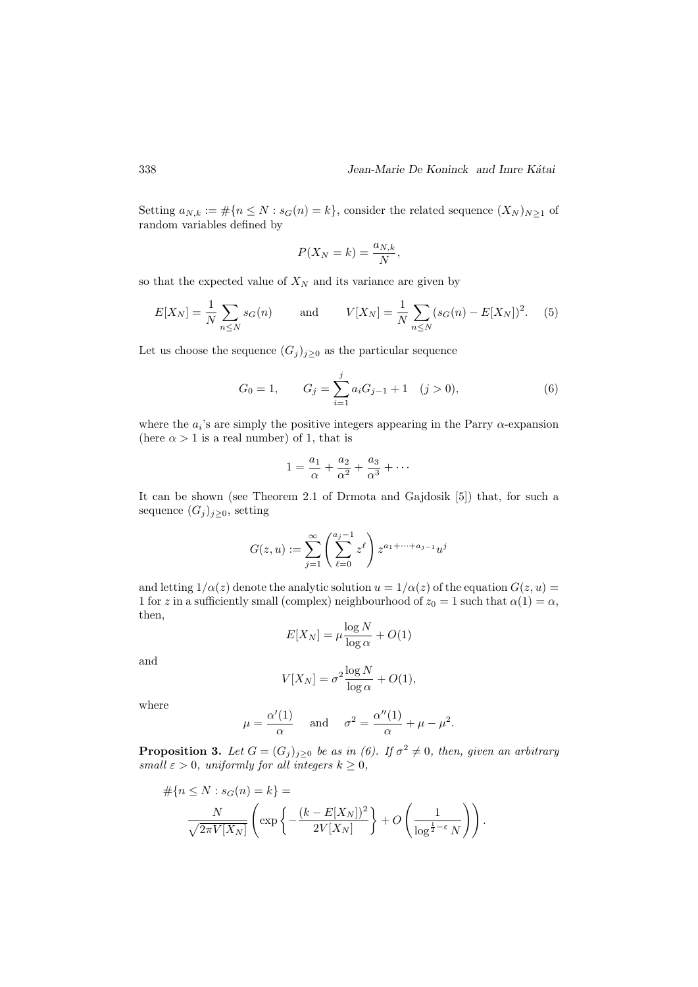Setting  $a_{N,k} := \#\{n \leq N : s_G(n) = k\}$ , consider the related sequence  $(X_N)_{N \geq 1}$  of random variables defined by

$$
P(X_N = k) = \frac{a_{N,k}}{N},
$$

so that the expected value of  $X_N$  and its variance are given by

$$
E[X_N] = \frac{1}{N} \sum_{n \le N} s_G(n) \quad \text{and} \quad V[X_N] = \frac{1}{N} \sum_{n \le N} (s_G(n) - E[X_N])^2. \quad (5)
$$

Let us choose the sequence  $(G_j)_{j\geq 0}$  as the particular sequence

$$
G_0 = 1, \qquad G_j = \sum_{i=1}^j a_i G_{j-1} + 1 \quad (j > 0), \tag{6}
$$

where the  $a_i$ 's are simply the positive integers appearing in the Parry  $\alpha$ -expansion (here  $\alpha > 1$  is a real number) of 1, that is

$$
1 = \frac{a_1}{\alpha} + \frac{a_2}{\alpha^2} + \frac{a_3}{\alpha^3} + \cdots
$$

It can be shown (see Theorem 2.1 of Drmota and Gajdosik [5]) that, for such a sequence  $(G_j)_{j\geq 0}$ , setting

$$
G(z, u) := \sum_{j=1}^{\infty} \left( \sum_{\ell=0}^{a_j - 1} z^{\ell} \right) z^{a_1 + \dots + a_{j-1}} u^j
$$

and letting  $1/\alpha(z)$  denote the analytic solution  $u = 1/\alpha(z)$  of the equation  $G(z, u) =$ 1 for z in a sufficiently small (complex) neighbourhood of  $z_0 = 1$  such that  $\alpha(1) = \alpha$ , then,

$$
E[X_N] = \mu \frac{\log N}{\log \alpha} + O(1)
$$

and

$$
V[X_N] = \sigma^2 \frac{\log N}{\log \alpha} + O(1),
$$

where

$$
\mu = \frac{\alpha'(1)}{\alpha}
$$
 and  $\sigma^2 = \frac{\alpha''(1)}{\alpha} + \mu - \mu^2$ .

**Proposition 3.** Let  $G = (G_j)_{j \geq 0}$  be as in (6). If  $\sigma^2 \neq 0$ , then, given an arbitrary small  $\varepsilon > 0$ , uniformly for all integers  $k \geq 0$ ,

$$
#\{n \leq N : s_G(n) = k\} =
$$

$$
\frac{N}{\sqrt{2\pi V[X_N]}} \left( \exp\left\{-\frac{(k - E[X_N])^2}{2V[X_N]}\right\} + O\left(\frac{1}{\log^{\frac{1}{2}-\varepsilon} N}\right) \right).
$$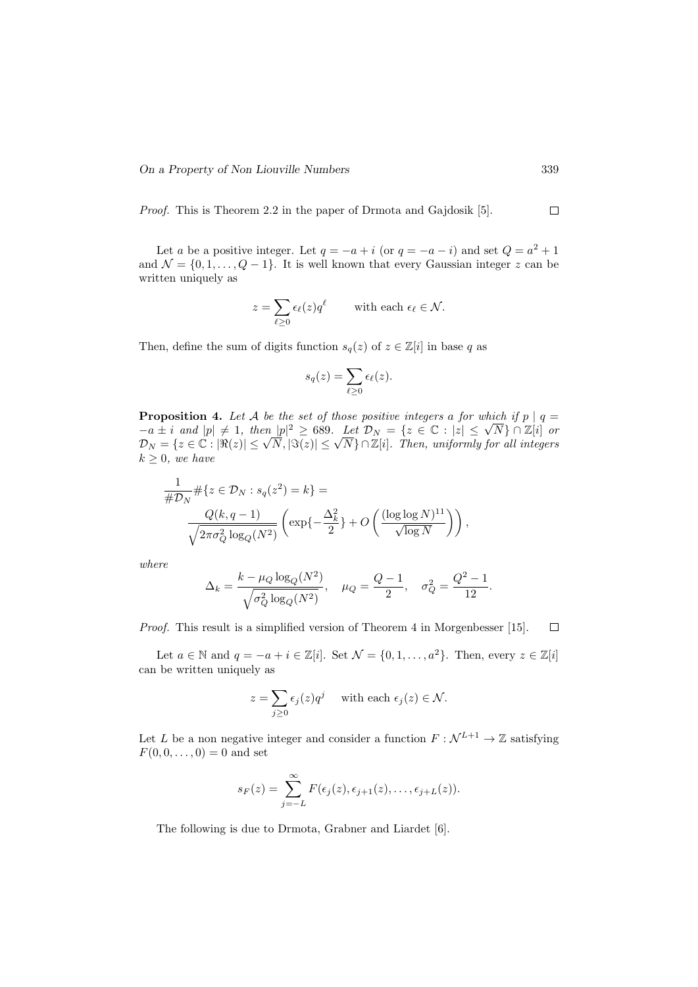Proof. This is Theorem 2.2 in the paper of Drmota and Gajdosik [5].  $\Box$ 

Let a be a positive integer. Let  $q = -a + i$  (or  $q = -a - i$ ) and set  $Q = a^2 + 1$ and  $\mathcal{N} = \{0, 1, \ldots, Q - 1\}$ . It is well known that every Gaussian integer z can be written uniquely as

$$
z = \sum_{\ell \geq 0} \epsilon_{\ell}(z) q^{\ell} \quad \text{with each } \epsilon_{\ell} \in \mathcal{N}.
$$

Then, define the sum of digits function  $s_q(z)$  of  $z \in \mathbb{Z}[i]$  in base q as

$$
s_q(z) = \sum_{\ell \geq 0} \epsilon_{\ell}(z).
$$

**Proposition 4.** Let A be the set of those positive integers a for which if  $p \mid q =$ **Proposition 4.** Let A be the set of those positive integers a for which if  $p \mid q = -a \pm i$  and  $|p| \neq 1$ , then  $|p|^2 \geq 689$ . Let  $\mathcal{D}_N = \{z \in \mathbb{C} : |z| \leq \sqrt{N}\} \cap \mathbb{Z}[i]$  or  $\mathcal{D}_N = \{z \in \mathbb{C} : |\Re(z)| \leq \sqrt{N}, |\Im(z)| \leq \sqrt{N}\} \cap \mathbb{Z}[i].$  Then, uniformly for all integers  $\mathcal{D}_N = \{z \in \mathbb{C} : |\Re(z)| \leq \sqrt{N}, |\Im(z)| \leq \sqrt{N}\} \cap \mathbb{Z}[i].$  $k \geq 0$ , we have

$$
\frac{1}{\#D_N} \# \{ z \in D_N : s_q(z^2) = k \} =
$$
  

$$
\frac{Q(k, q-1)}{\sqrt{2\pi \sigma_Q^2 \log_Q(N^2)}} \left( \exp\left\{-\frac{\Delta_k^2}{2}\right\} + O\left(\frac{(\log \log N)^{11}}{\sqrt{\log N}}\right) \right),
$$

where

$$
\Delta_k = \frac{k - \mu_Q \log_Q(N^2)}{\sqrt{\sigma_Q^2 \log_Q(N^2)}}, \quad \mu_Q = \frac{Q - 1}{2}, \quad \sigma_Q^2 = \frac{Q^2 - 1}{12}.
$$

Proof. This result is a simplified version of Theorem 4 in Morgenbesser [15].  $\Box$ 

Let  $a \in \mathbb{N}$  and  $q = -a + i \in \mathbb{Z}[i]$ . Set  $\mathcal{N} = \{0, 1, \ldots, a^2\}$ . Then, every  $z \in \mathbb{Z}[i]$ can be written uniquely as

$$
z = \sum_{j\geq 0} \epsilon_j(z) q^j \quad \text{ with each } \epsilon_j(z) \in \mathcal{N}.
$$

Let L be a non negative integer and consider a function  $F : \mathcal{N}^{L+1} \to \mathbb{Z}$  satisfying  $F(0, 0, \ldots, 0) = 0$  and set

$$
s_F(z) = \sum_{j=-L}^{\infty} F(\epsilon_j(z), \epsilon_{j+1}(z), \ldots, \epsilon_{j+L}(z)).
$$

The following is due to Drmota, Grabner and Liardet [6].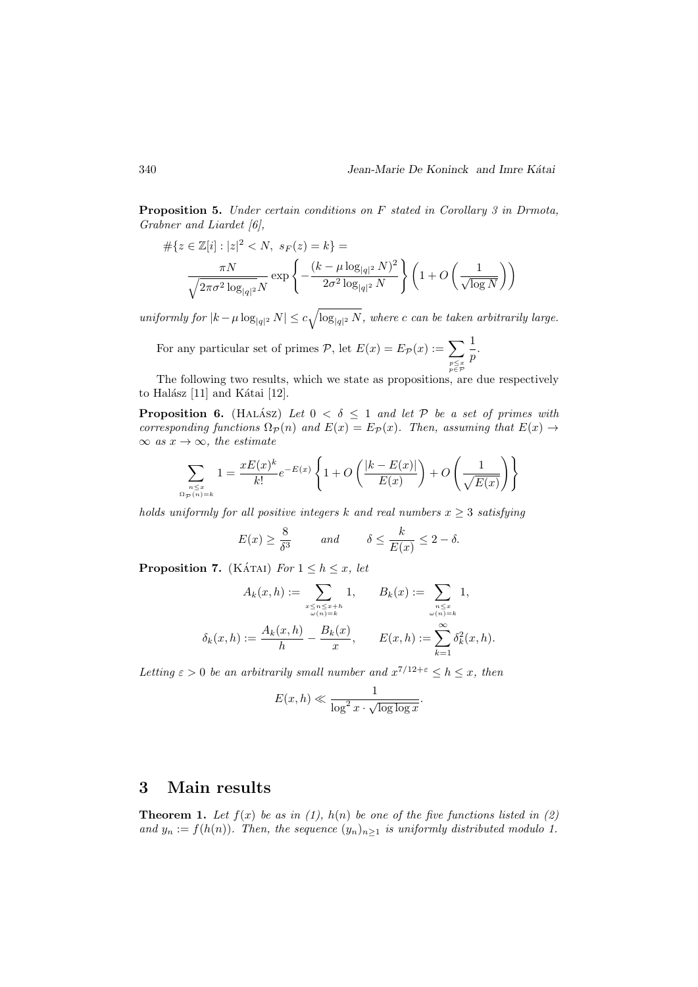Proposition 5. Under certain conditions on F stated in Corollary 3 in Drmota, Grabner and Liardet [6],

$$
\#\{z \in \mathbb{Z}[i] : |z|^2 < N, \ s_F(z) = k\} = \frac{\pi N}{\sqrt{2\pi\sigma^2 \log_{|q|^2} N}} \exp\left\{-\frac{(k - \mu \log_{|q|^2} N)^2}{2\sigma^2 \log_{|q|^2} N}\right\} \left(1 + O\left(\frac{1}{\sqrt{\log N}}\right)\right)
$$

uniformly for  $|k - \mu \log_{|q|^2} N| \leq c \sqrt{\log_{|q|^2} N}$ , where c can be taken arbitrarily large.

For any particular set of primes  $P$ , let  $E(x) = E_{\mathcal{P}}(x) := \sum$  $p \leq x$ <br> $p \in \mathcal{P}$ 1  $\frac{1}{p}$ .

The following two results, which we state as propositions, are due respectively to Halász  $[11]$  and Kátai  $[12]$ .

**Proposition 6.** (HALASZ) Let  $0 < \delta \leq 1$  and let P be a set of primes with corresponding functions  $\Omega_{\mathcal{P}}(n)$  and  $E(x) = E_{\mathcal{P}}(x)$ . Then, assuming that  $E(x) \to$  $\infty$  as  $x \to \infty$ , the estimate

$$
\sum_{\substack{n \le x \\ \Omega_{\mathcal{P}}(n)=k}} 1 = \frac{xE(x)^k}{k!} e^{-E(x)} \left\{ 1 + O\left(\frac{|k-E(x)|}{E(x)}\right) + O\left(\frac{1}{\sqrt{E(x)}}\right) \right\}
$$

holds uniformly for all positive integers k and real numbers  $x \geq 3$  satisfying

$$
E(x) \ge \frac{8}{\delta^3}
$$
 and  $\delta \le \frac{k}{E(x)} \le 2 - \delta$ .

**Proposition 7.** (KÁTAI) For  $1 \leq h \leq x$ , let

$$
A_k(x, h) := \sum_{\substack{x \le n \le x + h \\ \omega(n) = k}} 1, \qquad B_k(x) := \sum_{\substack{n \le x \\ \omega(n) = k}} 1, \delta_k(x, h) := \frac{A_k(x, h)}{h} - \frac{B_k(x)}{x}, \qquad E(x, h) := \sum_{k=1}^{\infty} \delta_k^2(x, h).
$$

Letting  $\varepsilon > 0$  be an arbitrarily small number and  $x^{7/12 + \varepsilon} \leq h \leq x$ , then

$$
E(x, h) \ll \frac{1}{\log^2 x \cdot \sqrt{\log \log x}}.
$$

#### 3 Main results

**Theorem 1.** Let  $f(x)$  be as in (1),  $h(n)$  be one of the five functions listed in (2) and  $y_n := f(h(n))$ . Then, the sequence  $(y_n)_{n\geq 1}$  is uniformly distributed modulo 1.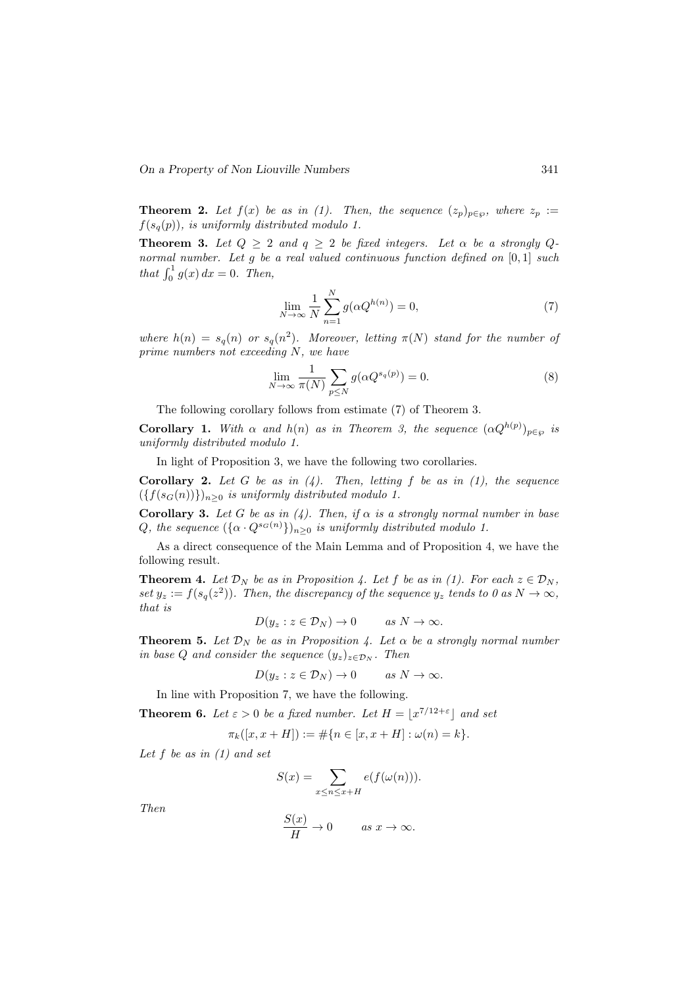**Theorem 2.** Let  $f(x)$  be as in (1). Then, the sequence  $(z_p)_{p \in \varnothing}$ , where  $z_p :=$  $f(s_q(p))$ , is uniformly distributed modulo 1.

**Theorem 3.** Let  $Q \geq 2$  and  $q \geq 2$  be fixed integers. Let  $\alpha$  be a strongly  $Q$ normal number. Let g be a real valued continuous function defined on [0,1] such that  $\int_0^1 g(x) dx = 0$ . Then,

$$
\lim_{N \to \infty} \frac{1}{N} \sum_{n=1}^{N} g(\alpha Q^{h(n)}) = 0,\tag{7}
$$

where  $h(n) = s_q(n)$  or  $s_q(n^2)$ . Moreover, letting  $\pi(N)$  stand for the number of prime numbers not exceeding N, we have

$$
\lim_{N \to \infty} \frac{1}{\pi(N)} \sum_{p \le N} g(\alpha Q^{s_q(p)}) = 0.
$$
\n(8)

The following corollary follows from estimate (7) of Theorem 3.

**Corollary 1.** With  $\alpha$  and  $h(n)$  as in Theorem 3, the sequence  $(\alpha Q^{h(p)})_{p \in \wp}$  is uniformly distributed modulo 1.

In light of Proposition 3, we have the following two corollaries.

**Corollary 2.** Let G be as in  $(4)$ . Then, letting f be as in  $(1)$ , the sequence  $({f(s_G(n))})_{n\geq 0}$  is uniformly distributed modulo 1.

**Corollary 3.** Let G be as in (4). Then, if  $\alpha$  is a strongly normal number in base Q, the sequence  $({\alpha \cdot Q^{s_G(n)}})_{n\geq 0}$  is uniformly distributed modulo 1.

As a direct consequence of the Main Lemma and of Proposition 4, we have the following result.

**Theorem 4.** Let  $\mathcal{D}_N$  be as in Proposition 4. Let f be as in (1). For each  $z \in \mathcal{D}_N$ , set  $y_z := f(s_q(z^2))$ . Then, the discrepancy of the sequence  $y_z$  tends to 0 as  $N \to \infty$ , that is

$$
D(y_z : z \in \mathcal{D}_N) \to 0 \quad \text{as } N \to \infty.
$$

**Theorem 5.** Let  $\mathcal{D}_N$  be as in Proposition 4. Let  $\alpha$  be a strongly normal number in base Q and consider the sequence  $(y_z)_{z \in \mathcal{D}_N}$ . Then

$$
D(y_z : z \in \mathcal{D}_N) \to 0 \quad \text{as } N \to \infty.
$$

In line with Proposition 7, we have the following.

**Theorem 6.** Let  $\varepsilon > 0$  be a fixed number. Let  $H = |x^{7/12+\epsilon}|$  and set

$$
\pi_k([x, x+H]):=\#\{n\in [x, x+H]: \omega(n)=k\}.
$$

Let  $f$  be as in  $(1)$  and set

$$
S(x) = \sum_{x \le n \le x+H} e(f(\omega(n))).
$$

Then

$$
\frac{S(x)}{H} \to 0 \quad \text{as } x \to \infty.
$$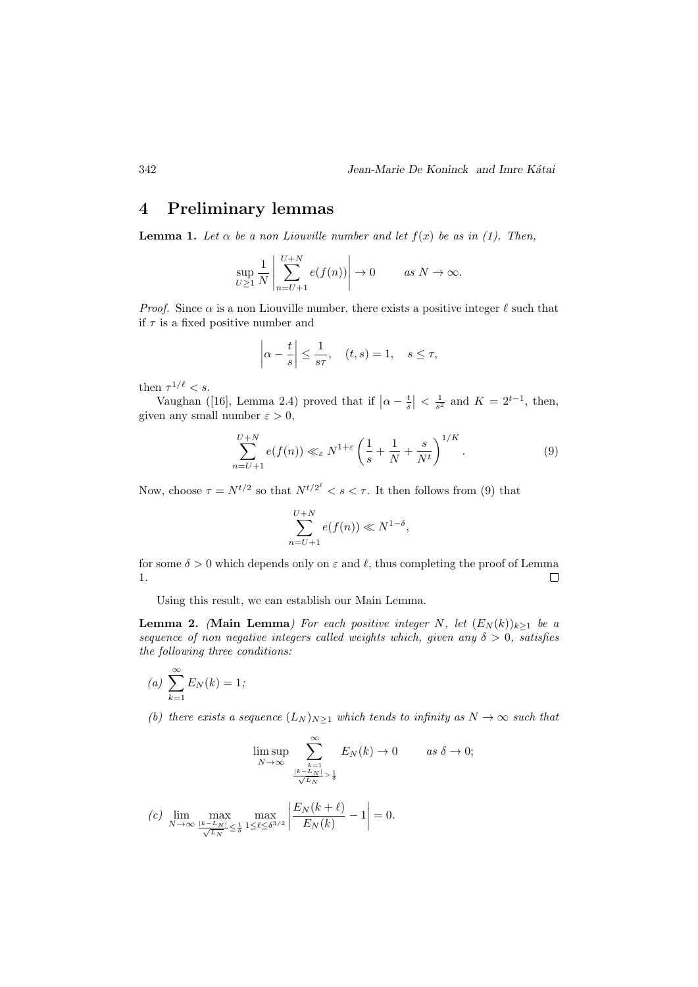### 4 Preliminary lemmas

**Lemma 1.** Let  $\alpha$  be a non Liouville number and let  $f(x)$  be as in (1). Then,

$$
\sup_{U \ge 1} \frac{1}{N} \left| \sum_{n=U+1}^{U+N} e(f(n)) \right| \to 0 \quad \text{as } N \to \infty.
$$

*Proof.* Since  $\alpha$  is a non Liouville number, there exists a positive integer  $\ell$  such that if  $\tau$  is a fixed positive number and

$$
\left|\alpha - \frac{t}{s}\right| \le \frac{1}{s\tau}, \quad (t,s) = 1, \quad s \le \tau,
$$

then  $\tau^{1/\ell} < s$ .

Vaughan ([16], Lemma 2.4) proved that if  $\left|\alpha - \frac{t}{s}\right| < \frac{1}{s^2}$  and  $K = 2^{t-1}$ , then, given any small number  $\varepsilon > 0$ ,

$$
\sum_{n=U+1}^{U+N} e(f(n)) \ll_{\varepsilon} N^{1+\varepsilon} \left(\frac{1}{s} + \frac{1}{N} + \frac{s}{N^t}\right)^{1/K}.
$$
 (9)

Now, choose  $\tau = N^{t/2}$  so that  $N^{t/2^{\ell}} < s < \tau$ . It then follows from (9) that

$$
\sum_{n=U+1}^{U+N} e(f(n)) \ll N^{1-\delta},
$$

for some  $\delta > 0$  which depends only on  $\varepsilon$  and  $\ell$ , thus completing the proof of Lemma 1.  $\Box$ 

Using this result, we can establish our Main Lemma.

**Lemma 2.** (Main Lemma) For each positive integer N, let  $(E_N(k))_{k\geq 1}$  be a sequence of non negative integers called weights which, given any  $\delta > 0$ , satisfies the following three conditions:

$$
(a) \sum_{k=1}^{\infty} E_N(k) = 1;
$$

(b) there exists a sequence  $(L_N)_{N\geq 1}$  which tends to infinity as  $N \to \infty$  such that

$$
\limsup_{N \to \infty} \sum_{\substack{k=1 \ \text{for } k \leq N}}^{\infty} E_N(k) \to 0 \quad \text{as } \delta \to 0;
$$

$$
(c) \lim_{N \to \infty} \max_{\frac{|k - L_N|}{\sqrt{L_N}} \leq \frac{1}{\delta}} \max_{1 \leq \ell \leq \delta^{3/2}} \left| \frac{E_N(k + \ell)}{E_N(k)} - 1 \right| = 0.
$$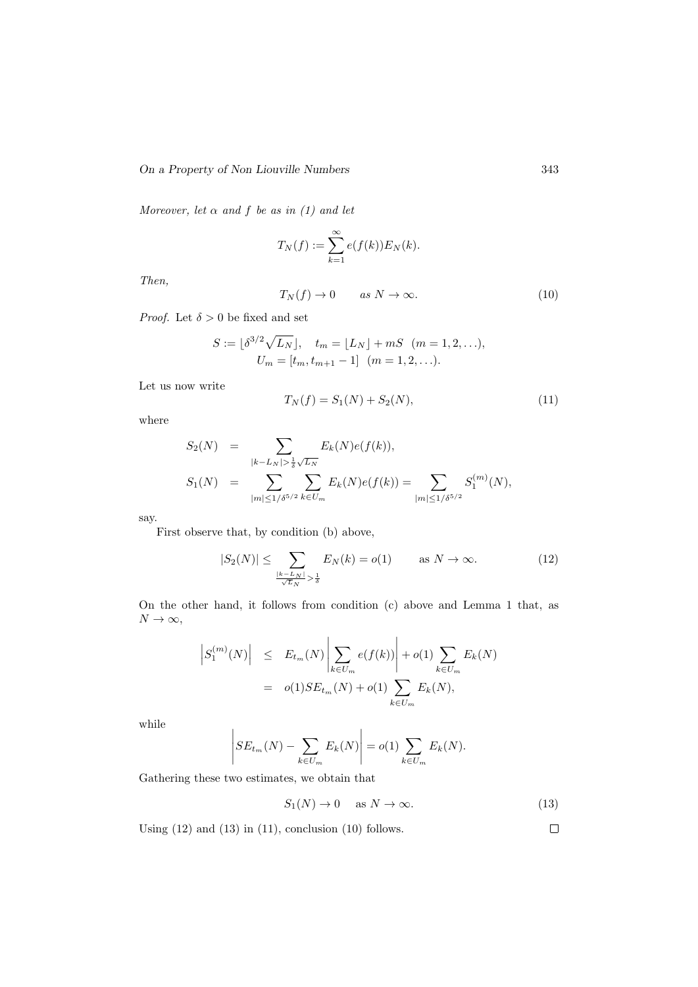Moreover, let  $\alpha$  and  $f$  be as in (1) and let

$$
T_N(f) := \sum_{k=1}^{\infty} e(f(k)) E_N(k).
$$

Then,

$$
T_N(f) \to 0 \qquad \text{as } N \to \infty. \tag{10}
$$

*Proof.* Let  $\delta > 0$  be fixed and set

$$
S := \lfloor \delta^{3/2} \sqrt{L_N} \rfloor, \quad t_m = \lfloor L_N \rfloor + mS \quad (m = 1, 2, ...),
$$
  

$$
U_m = [t_m, t_{m+1} - 1] \quad (m = 1, 2, ...).
$$

Let us now write

$$
T_N(f) = S_1(N) + S_2(N),\tag{11}
$$

where

$$
S_2(N) = \sum_{|k - L_N| > \frac{1}{\delta} \sqrt{L_N}} E_k(N) e(f(k)),
$$
  
\n
$$
S_1(N) = \sum_{|m| \le 1/\delta^{5/2}} \sum_{k \in U_m} E_k(N) e(f(k)) = \sum_{|m| \le 1/\delta^{5/2}} S_1^{(m)}(N),
$$

say.

First observe that, by condition (b) above,

$$
|S_2(N)| \le \sum_{\frac{|k-L_N|}{\sqrt{L_N}} > \frac{1}{\delta}} E_N(k) = o(1) \quad \text{as } N \to \infty.
$$
 (12)

On the other hand, it follows from condition (c) above and Lemma 1 that, as  $N \to \infty$ ,

$$
\begin{array}{rcl} \left| S_1^{(m)}(N) \right| & \leq & E_{t_m}(N) \left| \sum_{k \in U_m} e(f(k)) \right| + o(1) \sum_{k \in U_m} E_k(N) \\ & = & o(1) SE_{t_m}(N) + o(1) \sum_{k \in U_m} E_k(N), \end{array}
$$

while

$$
\left| SE_{t_m}(N) - \sum_{k \in U_m} E_k(N) \right| = o(1) \sum_{k \in U_m} E_k(N).
$$

Gathering these two estimates, we obtain that

$$
S_1(N) \to 0 \quad \text{as } N \to \infty. \tag{13}
$$

Using  $(12)$  and  $(13)$  in  $(11)$ , conclusion  $(10)$  follows.

 $\Box$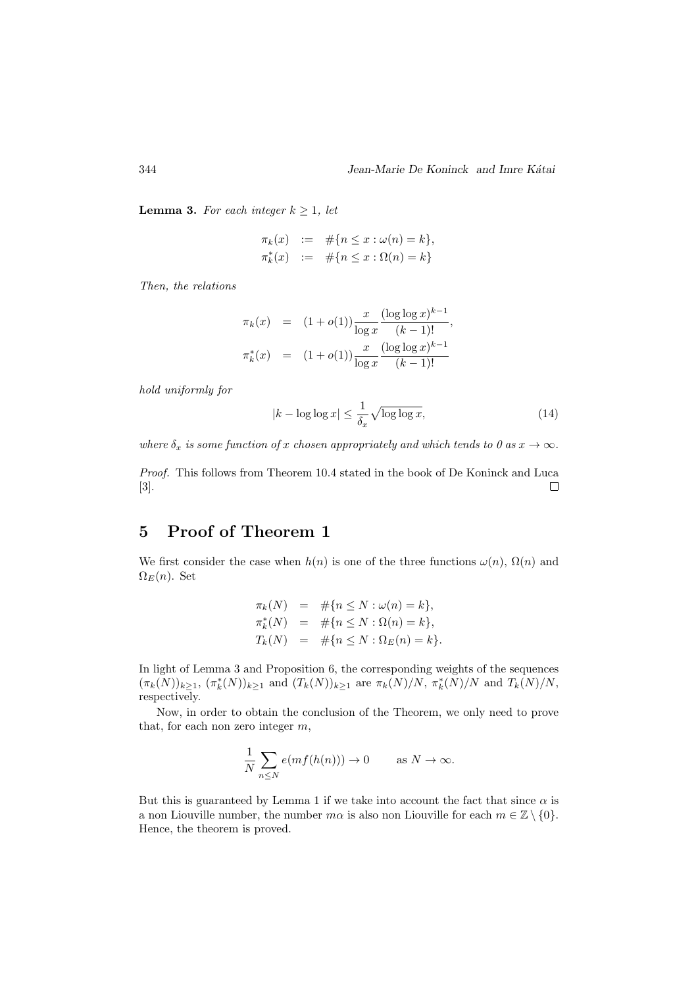**Lemma 3.** For each integer  $k \geq 1$ , let

$$
\pi_k(x) := #\{n \le x : \omega(n) = k\},\newline \pi_k^*(x) := #\{n \le x : \Omega(n) = k\}
$$

Then, the relations

$$
\pi_k(x) = (1 + o(1)) \frac{x}{\log x} \frac{(\log \log x)^{k-1}}{(k-1)!},
$$
  

$$
\pi_k^*(x) = (1 + o(1)) \frac{x}{\log x} \frac{(\log \log x)^{k-1}}{(k-1)!}
$$

hold uniformly for

$$
|k - \log \log x| \le \frac{1}{\delta_x} \sqrt{\log \log x},\tag{14}
$$

where  $\delta_x$  is some function of x chosen appropriately and which tends to 0 as  $x \to \infty$ .

Proof. This follows from Theorem 10.4 stated in the book of De Koninck and Luca [3].  $\Box$ 

# 5 Proof of Theorem 1

We first consider the case when  $h(n)$  is one of the three functions  $\omega(n)$ ,  $\Omega(n)$  and  $\Omega_E(n)$ . Set

$$
\pi_k(N) = #\{n \le N : \omega(n) = k\}, \n\pi_k^*(N) = #\{n \le N : \Omega(n) = k\}, \nT_k(N) = #\{n \le N : \Omega_E(n) = k\}.
$$

In light of Lemma 3 and Proposition 6, the corresponding weights of the sequences  $(\pi_k(N))_{k\geq 1}$ ,  $(\pi_k^*(N))_{k\geq 1}$  and  $(T_k(N))_{k\geq 1}$  are  $\pi_k(N)/N$ ,  $\pi_k^*(N)/N$  and  $T_k(N)/N$ , respectively.

Now, in order to obtain the conclusion of the Theorem, we only need to prove that, for each non zero integer  $m$ ,

$$
\frac{1}{N} \sum_{n \le N} e(mf(h(n))) \to 0 \quad \text{as } N \to \infty.
$$

But this is guaranteed by Lemma 1 if we take into account the fact that since  $\alpha$  is a non Liouville number, the number  $m\alpha$  is also non Liouville for each  $m \in \mathbb{Z} \setminus \{0\}$ . Hence, the theorem is proved.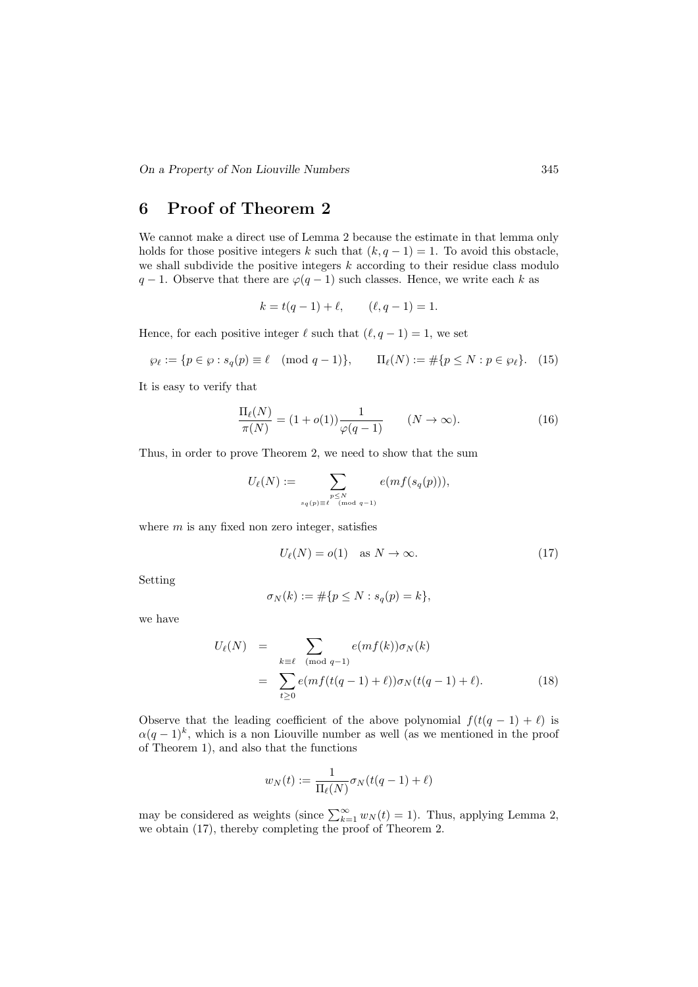# 6 Proof of Theorem 2

We cannot make a direct use of Lemma 2 because the estimate in that lemma only holds for those positive integers k such that  $(k, q - 1) = 1$ . To avoid this obstacle, we shall subdivide the positive integers  $k$  according to their residue class modulo  $q-1$ . Observe that there are  $\varphi(q-1)$  such classes. Hence, we write each k as

$$
k = t(q - 1) + \ell,
$$
  $(\ell, q - 1) = 1.$ 

Hence, for each positive integer  $\ell$  such that  $(\ell, q - 1) = 1$ , we set

$$
\wp_{\ell} := \{ p \in \wp : s_q(p) \equiv \ell \pmod{q-1} \}, \qquad \Pi_{\ell}(N) := \# \{ p \le N : p \in \wp_{\ell} \}. \tag{15}
$$

It is easy to verify that

$$
\frac{\Pi_{\ell}(N)}{\pi(N)} = (1 + o(1)) \frac{1}{\varphi(q-1)} \qquad (N \to \infty). \tag{16}
$$

Thus, in order to prove Theorem 2, we need to show that the sum

$$
U_{\ell}(N):=\sum_{\substack{p\leq N\\ s_q(p)\equiv \ell\pmod{q-1}}}e(mf(s_q(p))),
$$

where  $m$  is any fixed non zero integer, satisfies

$$
U_{\ell}(N) = o(1) \quad \text{as } N \to \infty. \tag{17}
$$

Setting

$$
\sigma_N(k) := \#\{p \le N : s_q(p) = k\},\
$$

we have

$$
U_{\ell}(N) = \sum_{k \equiv \ell \pmod{q-1}} e(mf(k))\sigma_N(k)
$$
  
= 
$$
\sum_{t \ge 0} e(mf(t(q-1) + \ell))\sigma_N(t(q-1) + \ell).
$$
 (18)

Observe that the leading coefficient of the above polynomial  $f(t(q - 1) + \ell)$  is  $\alpha(q-1)^k$ , which is a non Liouville number as well (as we mentioned in the proof of Theorem 1), and also that the functions

$$
w_N(t) := \frac{1}{\Pi_{\ell}(N)} \sigma_N(t(q-1) + \ell)
$$

may be considered as weights (since  $\sum_{k=1}^{\infty} w_N(t) = 1$ ). Thus, applying Lemma 2, we obtain (17), thereby completing the proof of Theorem 2.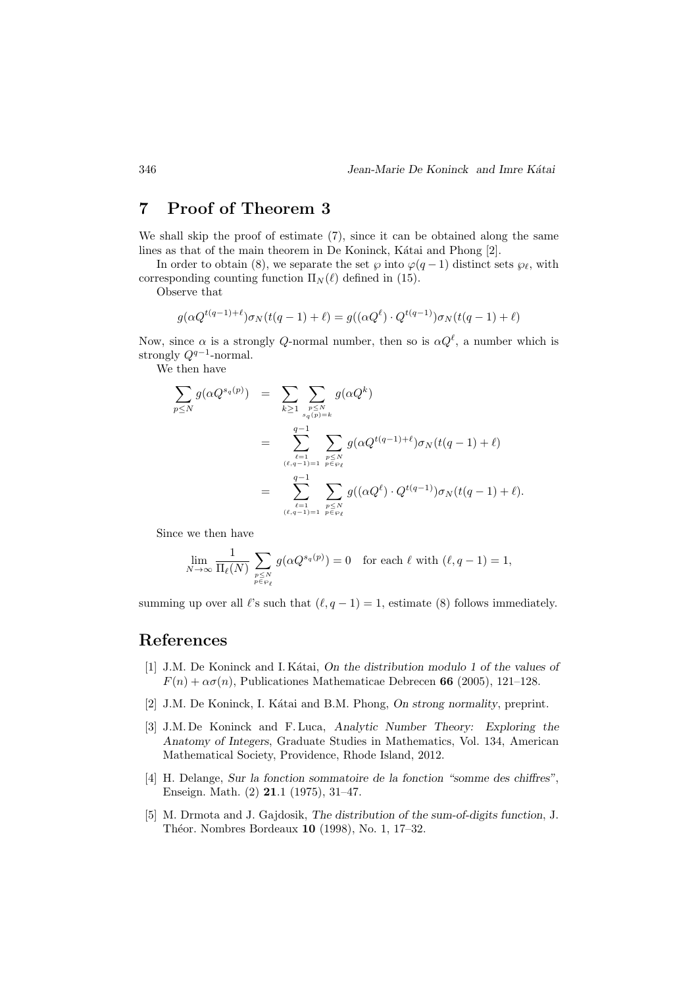# 7 Proof of Theorem 3

We shall skip the proof of estimate  $(7)$ , since it can be obtained along the same lines as that of the main theorem in De Koninck, Kátai and Phong [2].

In order to obtain (8), we separate the set  $\wp$  into  $\varphi(q-1)$  distinct sets  $\wp_{\ell}$ , with corresponding counting function  $\Pi_N(\ell)$  defined in (15).

Observe that

$$
g(\alpha Q^{t(q-1)+\ell})\sigma_N(t(q-1)+\ell) = g((\alpha Q^{\ell}) \cdot Q^{t(q-1)})\sigma_N(t(q-1)+\ell)
$$

Now, since  $\alpha$  is a strongly Q-normal number, then so is  $\alpha Q^{\ell}$ , a number which is strongly  $Q^{q-1}$ -normal.

We then have

$$
\sum_{p \leq N} g(\alpha Q^{s_q(p)}) = \sum_{k \geq 1} \sum_{\substack{p \leq N \\ s_q(p) = k}} g(\alpha Q^k)
$$
  
= 
$$
\sum_{\substack{\ell=1 \\ (\ell, q-1) = 1}}^{q-1} \sum_{\substack{p \leq N \\ p \in \wp_{\ell} \\ (\ell, q-1) = 1}} g(\alpha Q^{t(q-1)+\ell}) \sigma_N(t(q-1)+\ell)
$$
  
= 
$$
\sum_{\substack{\ell=1 \\ (\ell, q-1) = 1}}^{q-1} \sum_{\substack{p \leq N \\ p \in \wp_{\ell}}} g((\alpha Q^{\ell}) \cdot Q^{t(q-1)}) \sigma_N(t(q-1)+\ell).
$$

Since we then have

$$
\lim_{N \to \infty} \frac{1}{\Pi_{\ell}(N)} \sum_{\substack{p \le N \\ p \in \wp_{\ell}}} g(\alpha Q^{s_q(p)}) = 0 \quad \text{for each } \ell \text{ with } (\ell, q - 1) = 1,
$$

summing up over all  $\ell$ 's such that  $(\ell, q - 1) = 1$ , estimate (8) follows immediately.

# References

- [1] J.M. De Koninck and I. K´atai, On the distribution modulo 1 of the values of  $F(n) + \alpha \sigma(n)$ , Publicationes Mathematicae Debrecen 66 (2005), 121-128.
- [2] J.M. De Koninck, I. Kátai and B.M. Phong, On strong normality, preprint.
- [3] J.M. De Koninck and F. Luca, Analytic Number Theory: Exploring the Anatomy of Integers, Graduate Studies in Mathematics, Vol. 134, American Mathematical Society, Providence, Rhode Island, 2012.
- [4] H. Delange, Sur la fonction sommatoire de la fonction "somme des chiffres", Enseign. Math. (2) 21.1 (1975), 31–47.
- [5] M. Drmota and J. Gajdosik, The distribution of the sum-of-digits function, J. Théor. Nombres Bordeaux 10 (1998), No. 1, 17–32.